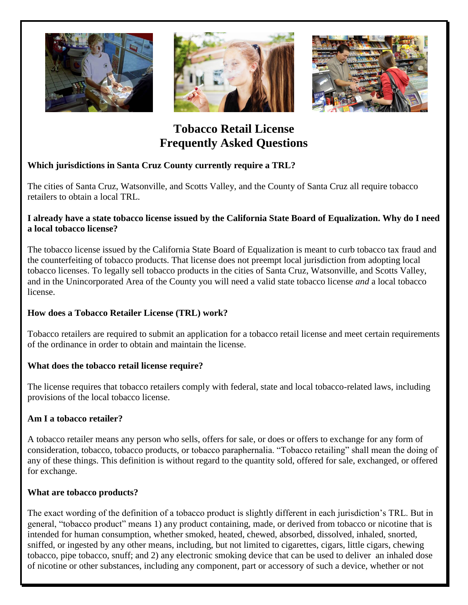





# **Tobacco Retail License Frequently Asked Questions**

# **Which jurisdictions in Santa Cruz County currently require a TRL?**

The cities of Santa Cruz, Watsonville, and Scotts Valley, and the County of Santa Cruz all require tobacco retailers to obtain a local TRL.

#### **I already have a state tobacco license issued by the California State Board of Equalization. Why do I need a local tobacco license?**

The tobacco license issued by the California State Board of Equalization is meant to curb tobacco tax fraud and the counterfeiting of tobacco products. That license does not preempt local jurisdiction from adopting local tobacco licenses. To legally sell tobacco products in the cities of Santa Cruz, Watsonville, and Scotts Valley, and in the Unincorporated Area of the County you will need a valid state tobacco license *and* a local tobacco license.

# **How does a Tobacco Retailer License (TRL) work?**

Tobacco retailers are required to submit an application for a tobacco retail license and meet certain requirements of the ordinance in order to obtain and maintain the license.

# **What does the tobacco retail license require?**

The license requires that tobacco retailers comply with federal, state and local tobacco-related laws, including provisions of the local tobacco license.

# **Am I a tobacco retailer?**

A tobacco retailer means any person who sells, offers for sale, or does or offers to exchange for any form of consideration, tobacco, tobacco products, or tobacco paraphernalia. "Tobacco retailing" shall mean the doing of any of these things. This definition is without regard to the quantity sold, offered for sale, exchanged, or offered for exchange.

#### **What are tobacco products?**

The exact wording of the definition of a tobacco product is slightly different in each jurisdiction's TRL. But in general, "tobacco product" means 1) any product containing, made, or derived from tobacco or nicotine that is intended for human consumption, whether smoked, heated, chewed, absorbed, dissolved, inhaled, snorted, sniffed, or ingested by any other means, including, but not limited to cigarettes, cigars, little cigars, chewing tobacco, pipe tobacco, snuff; and 2) any electronic smoking device that can be used to deliver an inhaled dose of nicotine or other substances, including any component, part or accessory of such a device, whether or not